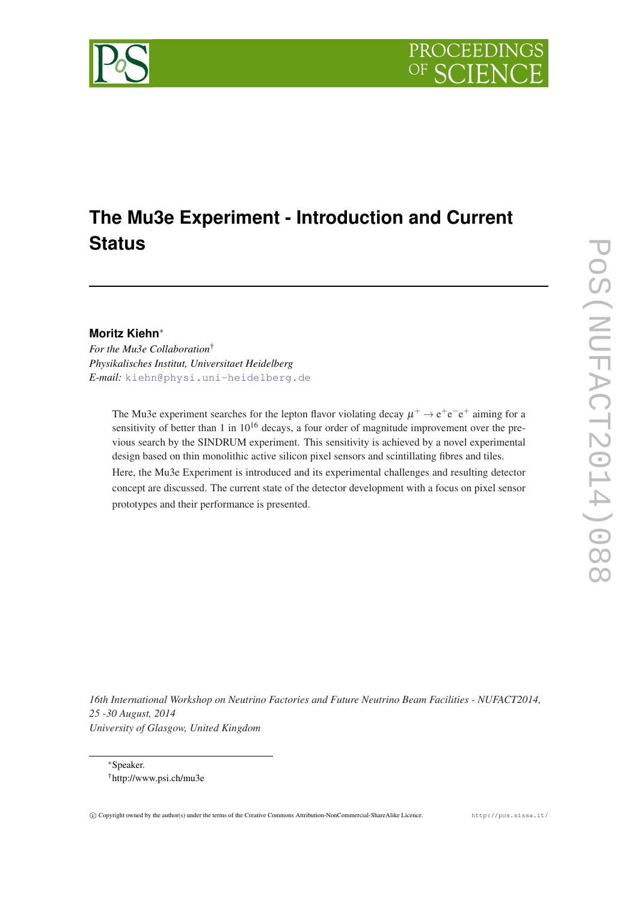# **The Mu3e Experiment - Introduction and Current Status**

## **Moritz Kiehn**<sup>∗</sup>

*For the Mu3e Collaboration*† *Physikalisches Institut, Universitaet Heidelberg E-mail:* [kiehn@physi.uni-heidelberg.de](mailto:kiehn@physi.uni-heidelberg.de)

> The Mu3e experiment searches for the lepton flavor violating decay  $\mu^+ \to e^+e^-e^+$  aiming for a sensitivity of better than 1 in  $10^{16}$  decays, a four order of magnitude improvement over the previous search by the SINDRUM experiment. This sensitivity is achieved by a novel experimental design based on thin monolithic active silicon pixel sensors and scintillating fibres and tiles. Here, the Mu3e Experiment is introduced and its experimental challenges and resulting detector concept are discussed. The current state of the detector development with a focus on pixel sensor prototypes and their performance is presented.

*16th International Workshop on Neutrino Factories and Future Neutrino Beam Facilities - NUFACT2014, 25 -30 August, 2014 University of Glasgow, United Kingdom*

<sup>∗</sup>Speaker. †http://www.psi.ch/mu3e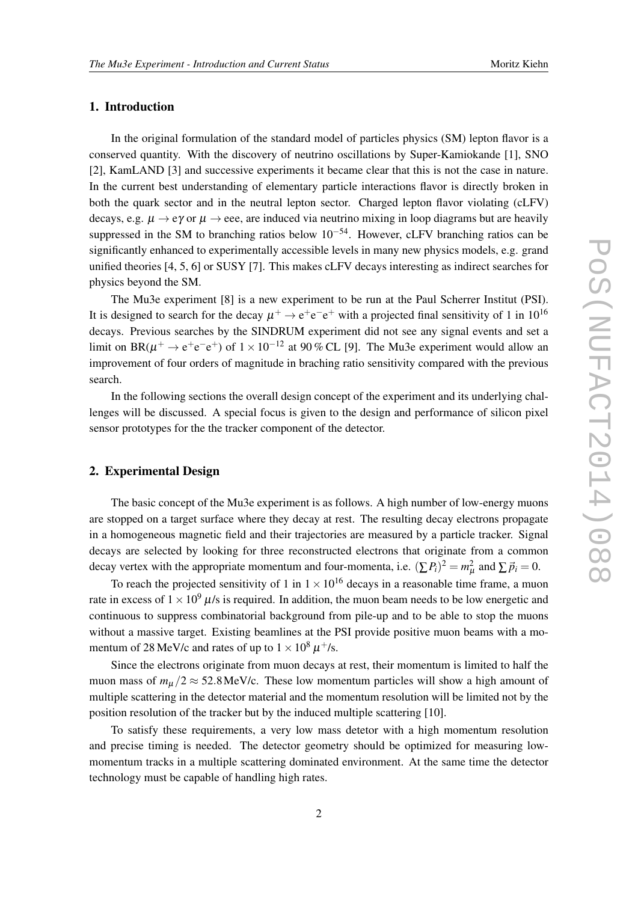#### 1. Introduction

In the original formulation of the standard model of particles physics (SM) lepton flavor is a conserved quantity. With the discovery of neutrino oscillations by Super-Kamiokande [1], SNO [2], KamLAND [3] and successive experiments it became clear that this is not the case in nature. In the current best understanding of elementary particle interactions flavor is directly broken in both the quark sector and in the neutral lepton sector. Charged lepton flavor violating (cLFV) decays, e.g.  $\mu \rightarrow e\gamma$  or  $\mu \rightarrow eee$ , are induced via neutrino mixing in loop diagrams but are heavily suppressed in the SM to branching ratios below  $10^{-54}$ . However, cLFV branching ratios can be significantly enhanced to experimentally accessible levels in many new physics models, e.g. grand unified theories [4, 5, 6] or SUSY [7]. This makes cLFV decays interesting as indirect searches for physics beyond the SM.

The Mu3e experiment [8] is a new experiment to be run at the Paul Scherrer Institut (PSI). It is designed to search for the decay  $\mu^+ \to e^+e^-e^+$  with a projected final sensitivity of 1 in 10<sup>16</sup> decays. Previous searches by the SINDRUM experiment did not see any signal events and set a limit on BR( $\mu^+ \rightarrow e^+e^-e^+$ ) of  $1 \times 10^{-12}$  at 90 % CL [9]. The Mu3e experiment would allow an improvement of four orders of magnitude in braching ratio sensitivity compared with the previous search.

In the following sections the overall design concept of the experiment and its underlying challenges will be discussed. A special focus is given to the design and performance of silicon pixel sensor prototypes for the the tracker component of the detector.

#### 2. Experimental Design

The basic concept of the Mu3e experiment is as follows. A high number of low-energy muons are stopped on a target surface where they decay at rest. The resulting decay electrons propagate in a homogeneous magnetic field and their trajectories are measured by a particle tracker. Signal decays are selected by looking for three reconstructed electrons that originate from a common decay vertex with the appropriate momentum and four-momenta, i.e.  $(\sum P_i)^2 = m_\mu^2$  and  $\sum \vec{p}_i = 0$ .

To reach the projected sensitivity of 1 in  $1 \times 10^{16}$  decays in a reasonable time frame, a muon rate in excess of  $1 \times 10^9$   $\mu$ /s is required. In addition, the muon beam needs to be low energetic and continuous to suppress combinatorial background from pile-up and to be able to stop the muons without a massive target. Existing beamlines at the PSI provide positive muon beams with a momentum of 28 MeV/c and rates of up to  $1 \times 10^8$   $\mu^+$ /s.

Since the electrons originate from muon decays at rest, their momentum is limited to half the muon mass of  $m_{\mu}/2 \approx 52.8 \text{ MeV/c}$ . These low momentum particles will show a high amount of multiple scattering in the detector material and the momentum resolution will be limited not by the position resolution of the tracker but by the induced multiple scattering [10].

To satisfy these requirements, a very low mass detetor with a high momentum resolution and precise timing is needed. The detector geometry should be optimized for measuring lowmomentum tracks in a multiple scattering dominated environment. At the same time the detector technology must be capable of handling high rates.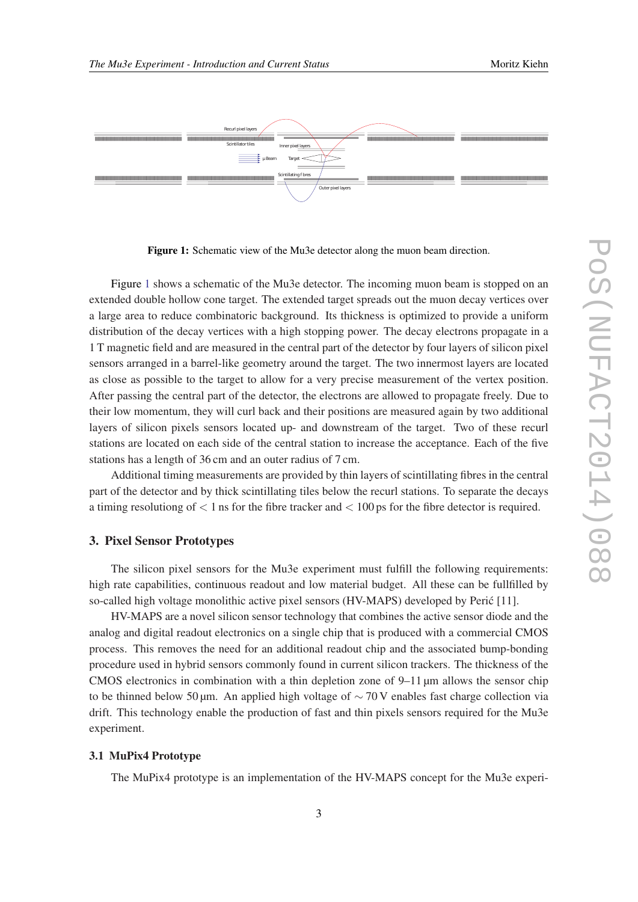

Figure 1: Schematic view of the Mu3e detector along the muon beam direction.

Figure 1 shows a schematic of the Mu3e detector. The incoming muon beam is stopped on an extended double hollow cone target. The extended target spreads out the muon decay vertices over a large area to reduce combinatoric background. Its thickness is optimized to provide a uniform distribution of the decay vertices with a high stopping power. The decay electrons propagate in a 1 T magnetic field and are measured in the central part of the detector by four layers of silicon pixel sensors arranged in a barrel-like geometry around the target. The two innermost layers are located as close as possible to the target to allow for a very precise measurement of the vertex position. After passing the central part of the detector, the electrons are allowed to propagate freely. Due to their low momentum, they will curl back and their positions are measured again by two additional layers of silicon pixels sensors located up- and downstream of the target. Two of these recurl stations are located on each side of the central station to increase the acceptance. Each of the five stations has a length of 36 cm and an outer radius of 7 cm.

Additional timing measurements are provided by thin layers of scintillating fibres in the central part of the detector and by thick scintillating tiles below the recurl stations. To separate the decays a timing resolutiong of  $\lt 1$  ns for the fibre tracker and  $\lt 100$  ps for the fibre detector is required.

#### 3. Pixel Sensor Prototypes

The silicon pixel sensors for the Mu3e experiment must fulfill the following requirements: high rate capabilities, continuous readout and low material budget. All these can be fullfilled by so-called high voltage monolithic active pixel sensors (HV-MAPS) developed by Peric [11]. ´

HV-MAPS are a novel silicon sensor technology that combines the active sensor diode and the analog and digital readout electronics on a single chip that is produced with a commercial CMOS process. This removes the need for an additional readout chip and the associated bump-bonding procedure used in hybrid sensors commonly found in current silicon trackers. The thickness of the CMOS electronics in combination with a thin depletion zone of  $9-11 \mu m$  allows the sensor chip to be thinned below 50 µm. An applied high voltage of  $\sim$  70 V enables fast charge collection via drift. This technology enable the production of fast and thin pixels sensors required for the Mu3e experiment.

#### 3.1 MuPix4 Prototype

The MuPix4 prototype is an implementation of the HV-MAPS concept for the Mu3e experi-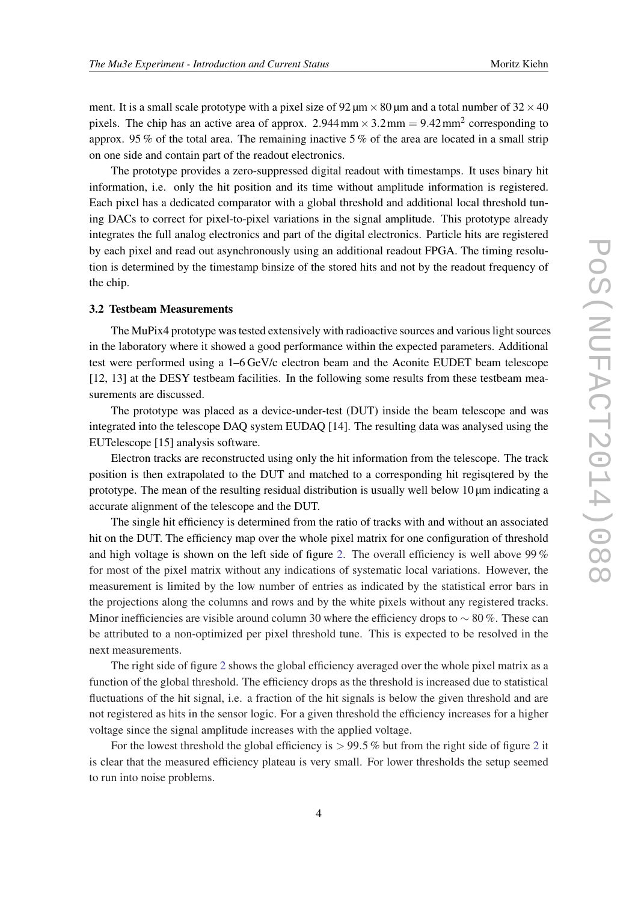ment. It is a small scale prototype with a pixel size of  $92 \mu m \times 80 \mu m$  and a total number of  $32 \times 40$ pixels. The chip has an active area of approx. 2.944 mm  $\times$  3.2 mm = 9.42 mm<sup>2</sup> corresponding to approx. 95 % of the total area. The remaining inactive 5 % of the area are located in a small strip on one side and contain part of the readout electronics.

The prototype provides a zero-suppressed digital readout with timestamps. It uses binary hit information, i.e. only the hit position and its time without amplitude information is registered. Each pixel has a dedicated comparator with a global threshold and additional local threshold tuning DACs to correct for pixel-to-pixel variations in the signal amplitude. This prototype already integrates the full analog electronics and part of the digital electronics. Particle hits are registered by each pixel and read out asynchronously using an additional readout FPGA. The timing resolution is determined by the timestamp binsize of the stored hits and not by the readout frequency of the chip.

#### 3.2 Testbeam Measurements

The MuPix4 prototype was tested extensively with radioactive sources and various light sources in the laboratory where it showed a good performance within the expected parameters. Additional test were performed using a 1–6 GeV/c electron beam and the Aconite EUDET beam telescope [12, 13] at the DESY testbeam facilities. In the following some results from these testbeam measurements are discussed.

The prototype was placed as a device-under-test (DUT) inside the beam telescope and was integrated into the telescope DAQ system EUDAQ [14]. The resulting data was analysed using the EUTelescope [15] analysis software.

Electron tracks are reconstructed using only the hit information from the telescope. The track position is then extrapolated to the DUT and matched to a corresponding hit regisqtered by the prototype. The mean of the resulting residual distribution is usually well below  $10 \mu m$  indicating a accurate alignment of the telescope and the DUT.

The single hit efficiency is determined from the ratio of tracks with and without an associated hit on the DUT. The efficiency map over the whole pixel matrix for one configuration of threshold and high voltage is shown on the left side of figure [2.](#page-4-0) The overall efficiency is well above 99 % for most of the pixel matrix without any indications of systematic local variations. However, the measurement is limited by the low number of entries as indicated by the statistical error bars in the projections along the columns and rows and by the white pixels without any registered tracks. Minor inefficiencies are visible around column 30 where the efficiency drops to  $\sim 80\%$ . These can be attributed to a non-optimized per pixel threshold tune. This is expected to be resolved in the next measurements.

The right side of figure [2](#page-4-0) shows the global efficiency averaged over the whole pixel matrix as a function of the global threshold. The efficiency drops as the threshold is increased due to statistical fluctuations of the hit signal, i.e. a fraction of the hit signals is below the given threshold and are not registered as hits in the sensor logic. For a given threshold the efficiency increases for a higher voltage since the signal amplitude increases with the applied voltage.

For the lowest threshold the global efficiency is  $> 99.5\%$  but from the right side of figure [2](#page-4-0) it is clear that the measured efficiency plateau is very small. For lower thresholds the setup seemed to run into noise problems.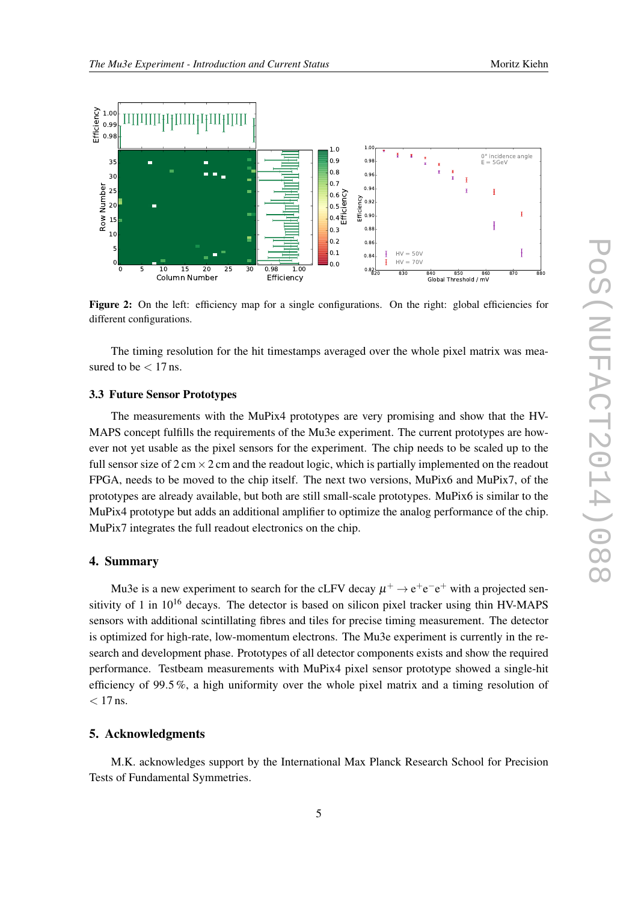<span id="page-4-0"></span>

Figure 2: On the left: efficiency map for a single configurations. On the right: global efficiencies for different configurations.

The timing resolution for the hit timestamps averaged over the whole pixel matrix was measured to be  $< 17$  ns.

#### 3.3 Future Sensor Prototypes

The measurements with the MuPix4 prototypes are very promising and show that the HV-MAPS concept fulfills the requirements of the Mu3e experiment. The current prototypes are however not yet usable as the pixel sensors for the experiment. The chip needs to be scaled up to the full sensor size of  $2 \text{ cm} \times 2 \text{ cm}$  and the readout logic, which is partially implemented on the readout FPGA, needs to be moved to the chip itself. The next two versions, MuPix6 and MuPix7, of the prototypes are already available, but both are still small-scale prototypes. MuPix6 is similar to the MuPix4 prototype but adds an additional amplifier to optimize the analog performance of the chip. MuPix7 integrates the full readout electronics on the chip.

#### 4. Summary

Mu3e is a new experiment to search for the cLFV decay  $\mu^+ \rightarrow e^+e^-e^+$  with a projected sensitivity of 1 in  $10^{16}$  decays. The detector is based on silicon pixel tracker using thin HV-MAPS sensors with additional scintillating fibres and tiles for precise timing measurement. The detector is optimized for high-rate, low-momentum electrons. The Mu3e experiment is currently in the research and development phase. Prototypes of all detector components exists and show the required performance. Testbeam measurements with MuPix4 pixel sensor prototype showed a single-hit efficiency of 99.5 %, a high uniformity over the whole pixel matrix and a timing resolution of  $< 17$  ns.

### 5. Acknowledgments

M.K. acknowledges support by the International Max Planck Research School for Precision Tests of Fundamental Symmetries.